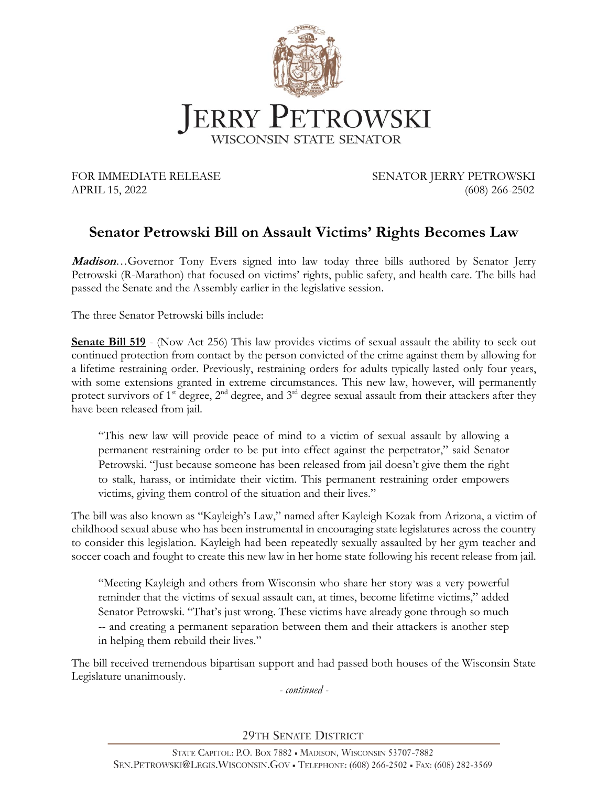

FOR IMMEDIATE RELEASE SENATOR JERRY PETROWSKI APRIL 15, 2022 (608) 266-2502

## **Senator Petrowski Bill on Assault Victims' Rights Becomes Law**

**Madison**…Governor Tony Evers signed into law today three bills authored by Senator Jerry Petrowski (R-Marathon) that focused on victims' rights, public safety, and health care. The bills had passed the Senate and the Assembly earlier in the legislative session.

The three Senator Petrowski bills include:

**Senate Bill 519** - (Now Act 256) This law provides victims of sexual assault the ability to seek out continued protection from contact by the person convicted of the crime against them by allowing for a lifetime restraining order. Previously, restraining orders for adults typically lasted only four years, with some extensions granted in extreme circumstances. This new law, however, will permanently protect survivors of 1<sup>st</sup> degree,  $2<sup>nd</sup>$  degree, and 3<sup>rd</sup> degree sexual assault from their attackers after they have been released from jail.

"This new law will provide peace of mind to a victim of sexual assault by allowing a permanent restraining order to be put into effect against the perpetrator," said Senator Petrowski. "Just because someone has been released from jail doesn't give them the right to stalk, harass, or intimidate their victim. This permanent restraining order empowers victims, giving them control of the situation and their lives."

The bill was also known as "Kayleigh's Law," named after Kayleigh Kozak from Arizona, a victim of childhood sexual abuse who has been instrumental in encouraging state legislatures across the country to consider this legislation. Kayleigh had been repeatedly sexually assaulted by her gym teacher and soccer coach and fought to create this new law in her home state following his recent release from jail.

"Meeting Kayleigh and others from Wisconsin who share her story was a very powerful reminder that the victims of sexual assault can, at times, become lifetime victims," added Senator Petrowski. "That's just wrong. These victims have already gone through so much -- and creating a permanent separation between them and their attackers is another step in helping them rebuild their lives."

The bill received tremendous bipartisan support and had passed both houses of the Wisconsin State Legislature unanimously.

*- continued -*

29TH SENATE DISTRICT